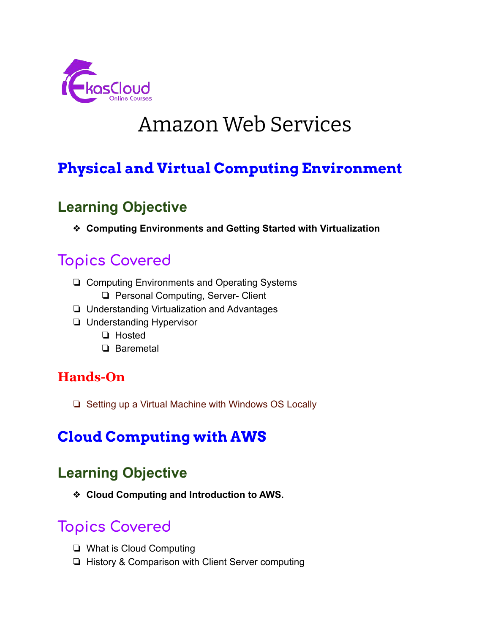

# Amazon Web Services

# **Physical and Virtual Computing Environment**

### **Learning Objective**

❖ **Computing Environments and Getting Started with Virtualization**

# **Topics Covered**

- ❏ Computing Environments and Operating Systems
	- ❏ Personal Computing, Server- Client
- ❏ Understanding Virtualization and Advantages
- ❏ Understanding Hypervisor
	- ❏ Hosted
	- ❏ Baremetal

#### **Hands-On**

❏ Setting up a Virtual Machine with Windows OS Locally

# **Cloud Computing with AWS**

### **Learning Objective**

❖ **Cloud Computing and Introduction to AWS.**

- ❏ What is Cloud Computing
- ❏ History & Comparison with Client Server computing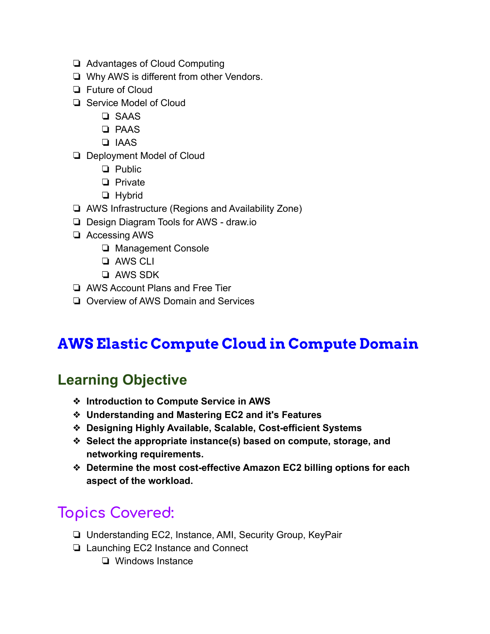- ❏ Advantages of Cloud Computing
- ❏ Why AWS is different from other Vendors.
- ❏ Future of Cloud
- ❏ Service Model of Cloud
	- ❏ SAAS
	- ❏ PAAS
	- ❏ IAAS
- ❏ Deployment Model of Cloud
	- ❏ Public
	- ❏ Private
	- ❏ Hybrid
- ❏ AWS Infrastructure (Regions and Availability Zone)
- ❏ Design Diagram Tools for AWS draw.io
- ❏ Accessing AWS
	- ❏ Management Console
	- ❏ AWS CLI
	- ❏ AWS SDK
- ❏ AWS Account Plans and Free Tier
- ❏ Overview of AWS Domain and Services

# **AWS Elastic Compute Cloud in Compute Domain**

# **Learning Objective**

- ❖ **Introduction to Compute Service in AWS**
- ❖ **Understanding and Mastering EC2 and it's Features**
- ❖ **Designing Highly Available, Scalable, Cost-efficient Systems**
- ❖ **Select the appropriate instance(s) based on compute, storage, and networking requirements.**
- ❖ **Determine the most cost-effective Amazon EC2 billing options for each aspect of the workload.**

- ❏ Understanding EC2, Instance, AMI, Security Group, KeyPair
- ❏ Launching EC2 Instance and Connect
	- ❏ Windows Instance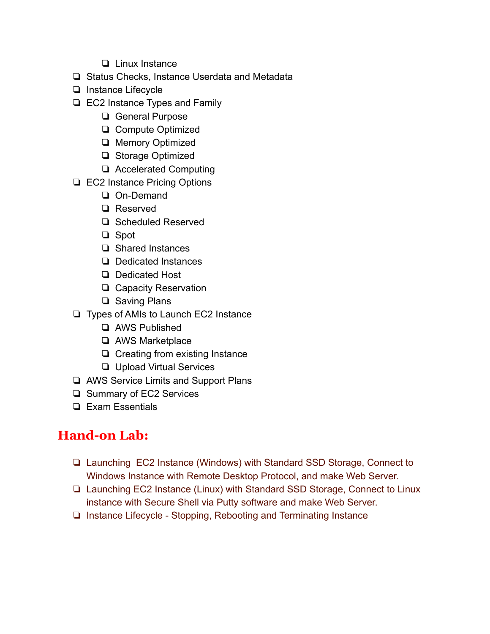- ❏ Linux Instance
- ❏ Status Checks, Instance Userdata and Metadata
- ❏ Instance Lifecycle
- ❏ EC2 Instance Types and Family
	- ❏ General Purpose
	- ❏ Compute Optimized
	- ❏ Memory Optimized
	- ❏ Storage Optimized
	- ❏ Accelerated Computing
- ❏ EC2 Instance Pricing Options
	- ❏ On-Demand
	- ❏ Reserved
	- ❏ Scheduled Reserved
	- ❏ Spot
	- ❏ Shared Instances
	- ❏ Dedicated Instances
	- ❏ Dedicated Host
	- ❏ Capacity Reservation
	- ❏ Saving Plans
- ❏ Types of AMIs to Launch EC2 Instance
	- ❏ AWS Published
	- ❏ AWS Marketplace
	- ❏ Creating from existing Instance
	- ❏ Upload Virtual Services
- ❏ AWS Service Limits and Support Plans
- ❏ Summary of EC2 Services
- ❏ Exam Essentials

### **Hand-on Lab:**

- ❏ Launching EC2 Instance (Windows) with Standard SSD Storage, Connect to Windows Instance with Remote Desktop Protocol, and make Web Server.
- ❏ Launching EC2 Instance (Linux) with Standard SSD Storage, Connect to Linux instance with Secure Shell via Putty software and make Web Server.
- ❏ Instance Lifecycle Stopping, Rebooting and Terminating Instance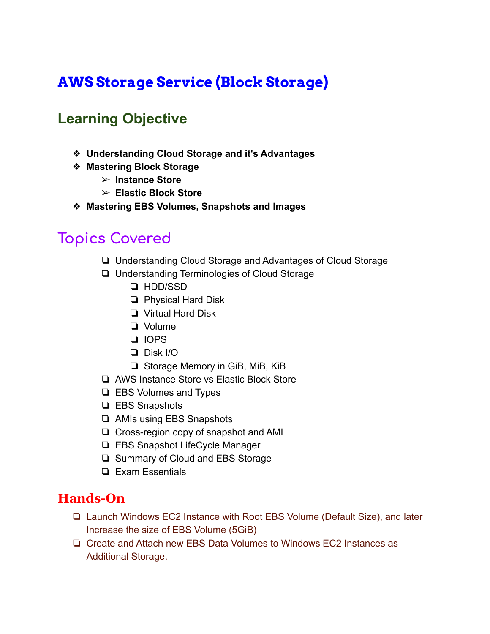# **AWS Storage Service (Block Storage)**

### **Learning Objective**

- ❖ **Understanding Cloud Storage and it's Advantages**
- ❖ **Mastering Block Storage**
	- ➢ **Instance Store**
	- ➢ **Elastic Block Store**
- ❖ **Mastering EBS Volumes, Snapshots and Images**

### **Topics Covered**

- ❏ Understanding Cloud Storage and Advantages of Cloud Storage
- ❏ Understanding Terminologies of Cloud Storage
	- ❏ HDD/SSD
	- ❏ Physical Hard Disk
	- ❏ Virtual Hard Disk
	- ❏ Volume
	- ❏ IOPS
	- ❏ Disk I/O
	- ❏ Storage Memory in GiB, MiB, KiB
- ❏ AWS Instance Store vs Elastic Block Store
- ❏ EBS Volumes and Types
- ❏ EBS Snapshots
- ❏ AMIs using EBS Snapshots
- ❏ Cross-region copy of snapshot and AMI
- ❏ EBS Snapshot LifeCycle Manager
- ❏ Summary of Cloud and EBS Storage
- ❏ Exam Essentials

#### **Hands-On**

- ❏ Launch Windows EC2 Instance with Root EBS Volume (Default Size), and later Increase the size of EBS Volume (5GiB)
- ❏ Create and Attach new EBS Data Volumes to Windows EC2 Instances as Additional Storage.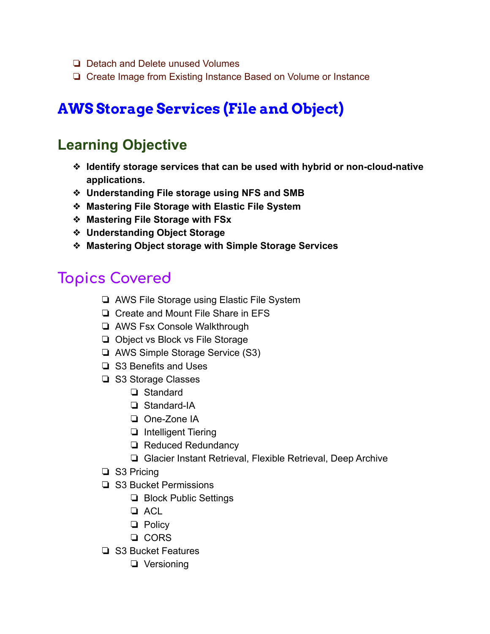- ❏ Detach and Delete unused Volumes
- ❏ Create Image from Existing Instance Based on Volume or Instance

# **AWS Storage Services (File and Object)**

### **Learning Objective**

- ❖ **Identify storage services that can be used with hybrid or non-cloud-native applications.**
- ❖ **Understanding File storage using NFS and SMB**
- ❖ **Mastering File Storage with Elastic File System**
- ❖ **Mastering File Storage with FSx**
- ❖ **Understanding Object Storage**
- ❖ **Mastering Object storage with Simple Storage Services**

- ❏ AWS File Storage using Elastic File System
- ❏ Create and Mount File Share in EFS
- ❏ AWS Fsx Console Walkthrough
- ❏ Object vs Block vs File Storage
- ❏ AWS Simple Storage Service (S3)
- ❏ S3 Benefits and Uses
- ❏ S3 Storage Classes
	- ❏ Standard
	- ❏ Standard-IA
	- ❏ One-Zone IA
	- ❏ Intelligent Tiering
	- ❏ Reduced Redundancy
	- ❏ Glacier Instant Retrieval, Flexible Retrieval, Deep Archive
- ❏ S3 Pricing
- ❏ S3 Bucket Permissions
	- ❏ Block Public Settings
	- ❏ ACL
	- ❏ Policy
	- ❏ CORS
- ❏ S3 Bucket Features
	- ❏ Versioning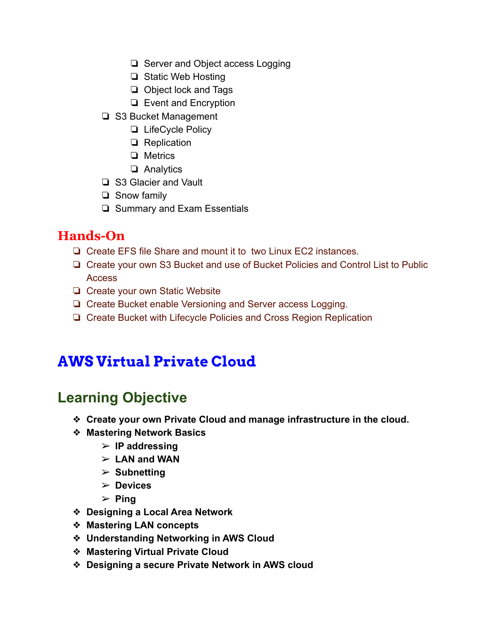- ❏ Server and Object access Logging
- ❏ Static Web Hosting
- ❏ Object lock and Tags
- ❏ Event and Encryption
- ❏ S3 Bucket Management
	- ❏ LifeCycle Policy
	- ❏ Replication
	- ❏ Metrics
	- ❏ Analytics
- ❏ S3 Glacier and Vault
- ❏ Snow family
- ❏ Summary and Exam Essentials

- ❏ Create EFS file Share and mount it to two Linux EC2 instances.
- ❏ Create your own S3 Bucket and use of Bucket Policies and Control List to Public Access
- ❏ Create your own Static Website
- ❏ Create Bucket enable Versioning and Server access Logging.
- ❏ Create Bucket with Lifecycle Policies and Cross Region Replication

# **AWS Virtual Private Cloud**

### **Learning Objective**

- ❖ **Create your own Private Cloud and manage infrastructure in the cloud.**
- ❖ **Mastering Network Basics**
	- ➢ **IP addressing**
	- ➢ **LAN and WAN**
	- ➢ **Subnetting**
	- ➢ **Devices**
	- ➢ **Ping**
- ❖ **Designing a Local Area Network**
- ❖ **Mastering LAN concepts**
- ❖ **Understanding Networking in AWS Cloud**
- ❖ **Mastering Virtual Private Cloud**
- ❖ **Designing a secure Private Network in AWS cloud**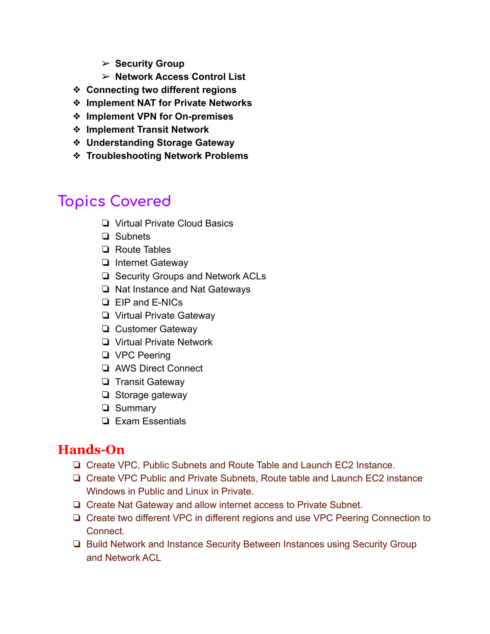- ➢ **Security Group**
- ➢ **Network Access Control List**
- ❖ **Connecting two different regions**
- ❖ **Implement NAT for Private Networks**
- ❖ **Implement VPN for On-premises**
- ❖ **Implement Transit Network**
- ❖ **Understanding Storage Gateway**
- ❖ **Troubleshooting Network Problems**

- ❏ Virtual Private Cloud Basics
- ❏ Subnets
- ❏ Route Tables
- ❏ Internet Gateway
- ❏ Security Groups and Network ACLs
- ❏ Nat Instance and Nat Gateways
- ❏ EIP and E-NICs
- ❏ Virtual Private Gateway
- ❏ Customer Gateway
- ❏ Virtual Private Network
- ❏ VPC Peering
- ❏ AWS Direct Connect
- ❏ Transit Gateway
- ❏ Storage gateway
- ❏ Summary
- ❏ Exam Essentials

### **Hands-On**

- ❏ Create VPC, Public Subnets and Route Table and Launch EC2 Instance.
- ❏ Create VPC Public and Private Subnets, Route table and Launch EC2 instance Windows in Public and Linux in Private.
- ❏ Create Nat Gateway and allow internet access to Private Subnet.
- ❏ Create two different VPC in different regions and use VPC Peering Connection to **Connect**
- ❏ Build Network and Instance Security Between Instances using Security Group and Network ACL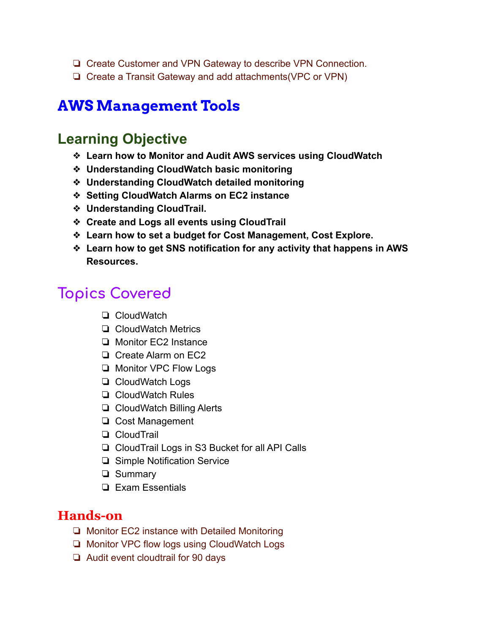- ❏ Create Customer and VPN Gateway to describe VPN Connection.
- ❏ Create a Transit Gateway and add attachments(VPC or VPN)

### **AWS Management Tools**

#### **Learning Objective**

- ❖ **Learn how to Monitor and Audit AWS services using CloudWatch**
- ❖ **Understanding CloudWatch basic monitoring**
- ❖ **Understanding CloudWatch detailed monitoring**
- ❖ **Setting CloudWatch Alarms on EC2 instance**
- ❖ **Understanding CloudTrail.**
- ❖ **Create and Logs all events using CloudTrail**
- ❖ **Learn how to set a budget for Cost Management, Cost Explore.**
- ❖ **Learn how to get SNS notification for any activity that happens in AWS Resources.**

# **Topics Covered**

- ❏ CloudWatch
- ❏ CloudWatch Metrics
- ❏ Monitor EC2 Instance
- ❏ Create Alarm on EC2
- ❏ Monitor VPC Flow Logs
- ❏ CloudWatch Logs
- ❏ CloudWatch Rules
- ❏ CloudWatch Billing Alerts
- ❏ Cost Management
- ❏ CloudTrail
- ❏ CloudTrail Logs in S3 Bucket for all API Calls
- ❏ Simple Notification Service
- ❏ Summary
- ❏ Exam Essentials

#### **Hands-on**

- ❏ Monitor EC2 instance with Detailed Monitoring
- ❏ Monitor VPC flow logs using CloudWatch Logs
- ❏ Audit event cloudtrail for 90 days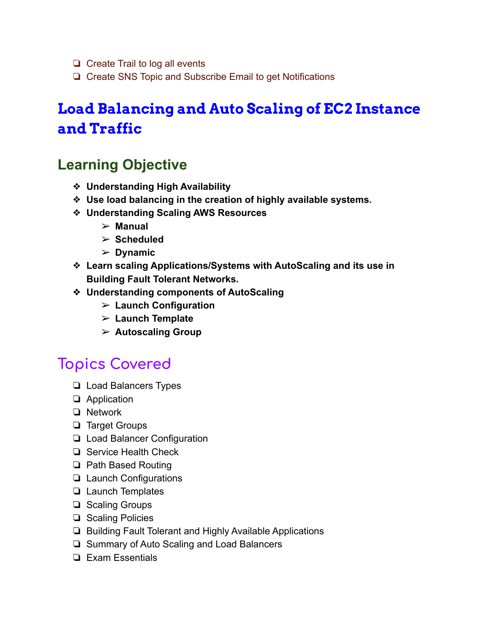- ❏ Create Trail to log all events
- ❏ Create SNS Topic and Subscribe Email to get Notifications

# **Load Balancing and Auto Scaling of EC2 Instance and Traffic**

### **Learning Objective**

- ❖ **Understanding High Availability**
- ❖ **Use load balancing in the creation of highly available systems.**
- ❖ **Understanding Scaling AWS Resources**
	- ➢ **Manual**
	- ➢ **Scheduled**
	- ➢ **Dynamic**
- ❖ **Learn scaling Applications/Systems with AutoScaling and its use in Building Fault Tolerant Networks.**
- ❖ **Understanding components of AutoScaling**
	- ➢ **Launch Configuration**
	- ➢ **Launch Template**
	- ➢ **Autoscaling Group**

- ❏ Load Balancers Types
- ❏ Application
- ❏ Network
- ❏ Target Groups
- ❏ Load Balancer Configuration
- ❏ Service Health Check
- ❏ Path Based Routing
- ❏ Launch Configurations
- ❏ Launch Templates
- ❏ Scaling Groups
- ❏ Scaling Policies
- ❏ Building Fault Tolerant and Highly Available Applications
- ❏ Summary of Auto Scaling and Load Balancers
- ❏ Exam Essentials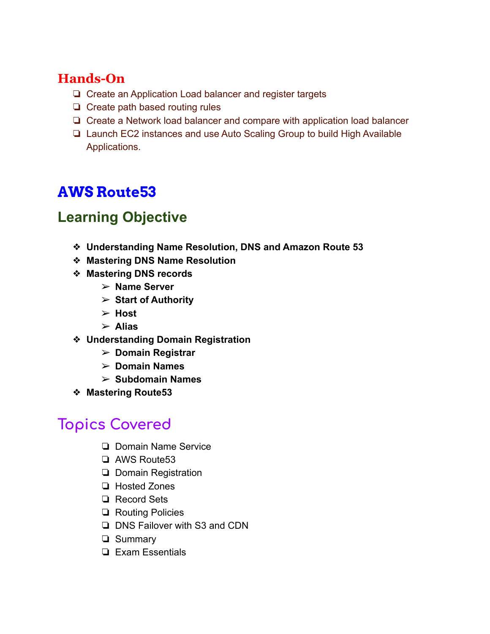- ❏ Create an Application Load balancer and register targets
- ❏ Create path based routing rules
- ❏ Create a Network load balancer and compare with application load balancer
- ❏ Launch EC2 instances and use Auto Scaling Group to build High Available Applications.

# **AWS Route53**

## **Learning Objective**

- ❖ **Understanding Name Resolution, DNS and Amazon Route 53**
- ❖ **Mastering DNS Name Resolution**
- ❖ **Mastering DNS records**
	- ➢ **Name Server**
	- ➢ **Start of Authority**
	- ➢ **Host**
	- ➢ **Alias**
- ❖ **Understanding Domain Registration**
	- ➢ **Domain Registrar**
	- ➢ **Domain Names**
	- ➢ **Subdomain Names**
- ❖ **Mastering Route53**

- ❏ Domain Name Service
- ❏ AWS Route53
- ❏ Domain Registration
- ❏ Hosted Zones
- ❏ Record Sets
- ❏ Routing Policies
- ❏ DNS Failover with S3 and CDN
- ❏ Summary
- ❏ Exam Essentials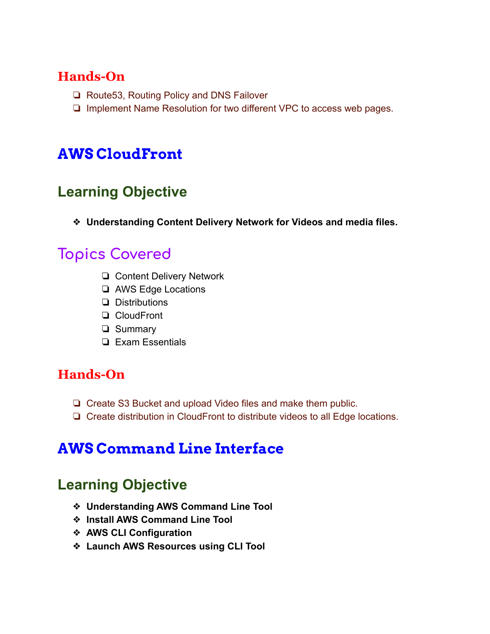- ❏ Route53, Routing Policy and DNS Failover
- ❏ Implement Name Resolution for two different VPC to access web pages.

# **AWS CloudFront**

## **Learning Objective**

❖ **Understanding Content Delivery Network for Videos and media files.**

# **Topics Covered**

- ❏ Content Delivery Network
- ❏ AWS Edge Locations
- ❏ Distributions
- ❏ CloudFront
- ❏ Summary
- ❏ Exam Essentials

#### **Hands-On**

- ❏ Create S3 Bucket and upload Video files and make them public.
- ❏ Create distribution in CloudFront to distribute videos to all Edge locations.

# **AWS Command Line Interface**

### **Learning Objective**

- ❖ **Understanding AWS Command Line Tool**
- ❖ **Install AWS Command Line Tool**
- ❖ **AWS CLI Configuration**
- ❖ **Launch AWS Resources using CLI Tool**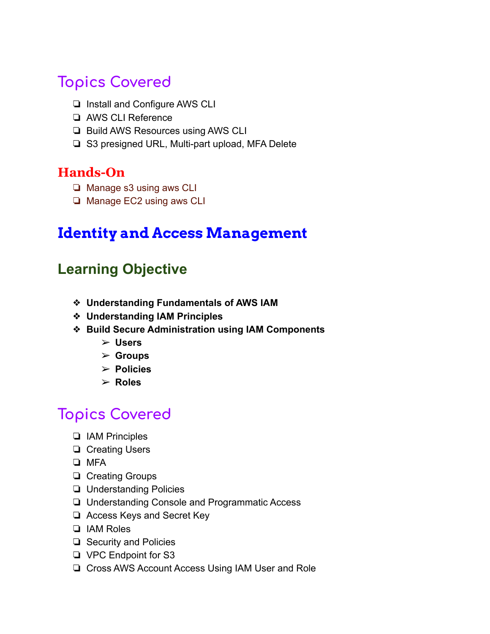- ❏ Install and Configure AWS CLI
- ❏ AWS CLI Reference
- ❏ Build AWS Resources using AWS CLI
- ❏ S3 presigned URL, Multi-part upload, MFA Delete

#### **Hands-On**

- ❏ Manage s3 using aws CLI
- ❏ Manage EC2 using aws CLI

### **Identity and Access Management**

### **Learning Objective**

- ❖ **Understanding Fundamentals of AWS IAM**
- ❖ **Understanding IAM Principles**
- ❖ **Build Secure Administration using IAM Components**
	- ➢ **Users**
	- ➢ **Groups**
	- ➢ **Policies**
	- ➢ **Roles**

- ❏ IAM Principles
- ❏ Creating Users
- ❏ MFA
- ❏ Creating Groups
- ❏ Understanding Policies
- ❏ Understanding Console and Programmatic Access
- ❏ Access Keys and Secret Key
- ❏ IAM Roles
- ❏ Security and Policies
- ❏ VPC Endpoint for S3
- ❏ Cross AWS Account Access Using IAM User and Role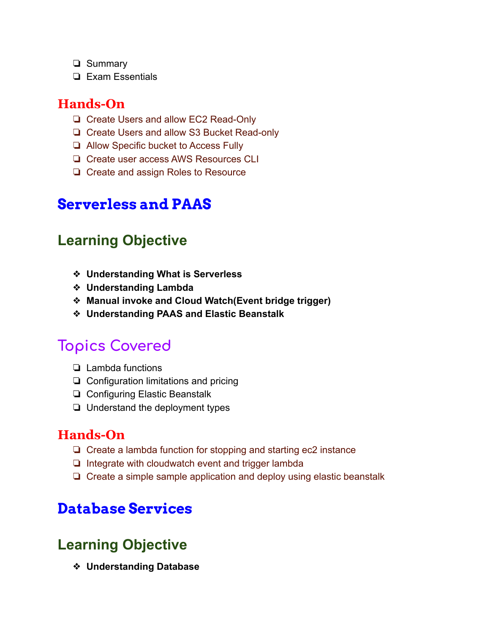- ❏ Summary
- ❏ Exam Essentials

- ❏ Create Users and allow EC2 Read-Only
- ❏ Create Users and allow S3 Bucket Read-only
- ❏ Allow Specific bucket to Access Fully
- ❏ Create user access AWS Resources CLI
- ❏ Create and assign Roles to Resource

### **Serverless and PAAS**

### **Learning Objective**

- ❖ **Understanding What is Serverless**
- ❖ **Understanding Lambda**
- ❖ **Manual invoke and Cloud Watch(Event bridge trigger)**
- ❖ **Understanding PAAS and Elastic Beanstalk**

### **Topics Covered**

- ❏ Lambda functions
- ❏ Configuration limitations and pricing
- ❏ Configuring Elastic Beanstalk
- ❏ Understand the deployment types

#### **Hands-On**

- ❏ Create a lambda function for stopping and starting ec2 instance
- ❏ Integrate with cloudwatch event and trigger lambda
- ❏ Create a simple sample application and deploy using elastic beanstalk

### **Database Services**

### **Learning Objective**

❖ **Understanding Database**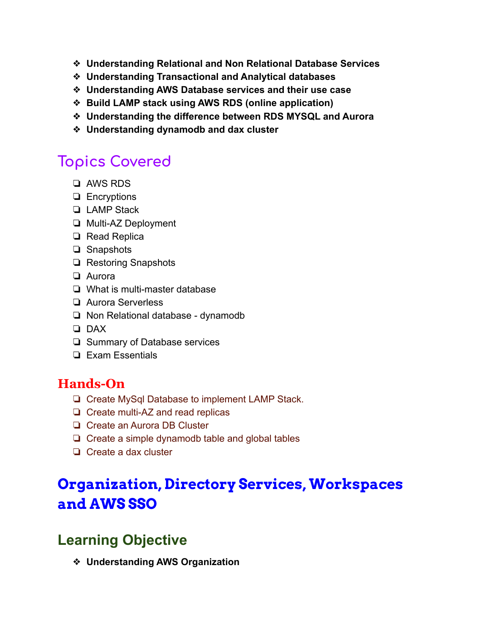- ❖ **Understanding Relational and Non Relational Database Services**
- ❖ **Understanding Transactional and Analytical databases**
- ❖ **Understanding AWS Database services and their use case**
- ❖ **Build LAMP stack using AWS RDS (online application)**
- ❖ **Understanding the difference between RDS MYSQL and Aurora**
- ❖ **Understanding dynamodb and dax cluster**

- ❏ AWS RDS
- ❏ Encryptions
- ❏ LAMP Stack
- ❏ Multi-AZ Deployment
- ❏ Read Replica
- ❏ Snapshots
- ❏ Restoring Snapshots
- ❏ Aurora
- ❏ What is multi-master database
- ❏ Aurora Serverless
- ❏ Non Relational database dynamodb
- ❏ DAX
- ❏ Summary of Database services
- ❏ Exam Essentials

#### **Hands-On**

- ❏ Create MySql Database to implement LAMP Stack.
- ❏ Create multi-AZ and read replicas
- ❏ Create an Aurora DB Cluster
- ❏ Create a simple dynamodb table and global tables
- ❏ Create a dax cluster

# **Organization, Directory Services, Workspaces and AWS SSO**

### **Learning Objective**

❖ **Understanding AWS Organization**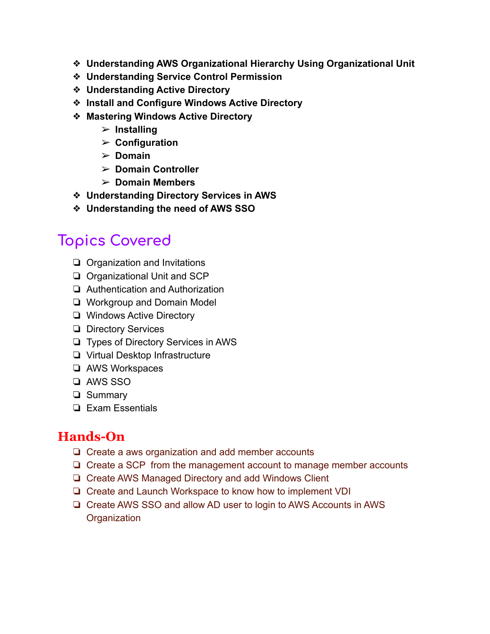- ❖ **Understanding AWS Organizational Hierarchy Using Organizational Unit**
- ❖ **Understanding Service Control Permission**
- ❖ **Understanding Active Directory**
- ❖ **Install and Configure Windows Active Directory**
- ❖ **Mastering Windows Active Directory**
	- ➢ **Installing**
	- ➢ **Configuration**
	- ➢ **Domain**
	- ➢ **Domain Controller**
	- ➢ **Domain Members**
- ❖ **Understanding Directory Services in AWS**
- ❖ **Understanding the need of AWS SSO**

- ❏ Organization and Invitations
- ❏ Organizational Unit and SCP
- ❏ Authentication and Authorization
- ❏ Workgroup and Domain Model
- ❏ Windows Active Directory
- ❏ Directory Services
- ❏ Types of Directory Services in AWS
- ❏ Virtual Desktop Infrastructure
- ❏ AWS Workspaces
- ❏ AWS SSO
- ❏ Summary
- ❏ Exam Essentials

### **Hands-On**

- ❏ Create a aws organization and add member accounts
- ❏ Create a SCP from the management account to manage member accounts
- ❏ Create AWS Managed Directory and add Windows Client
- ❏ Create and Launch Workspace to know how to implement VDI
- ❏ Create AWS SSO and allow AD user to login to AWS Accounts in AWS **Organization**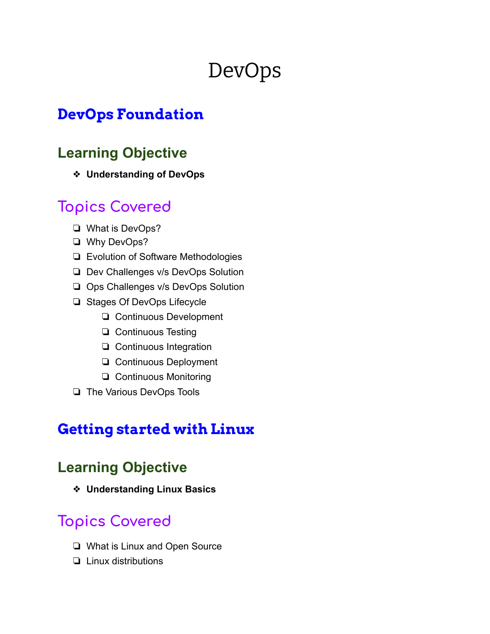# DevOps

### **DevOps Foundation**

### **Learning Objective**

❖ **Understanding of DevOps**

# **Topics Covered**

- ❏ What is DevOps?
- ❏ Why DevOps?
- ❏ Evolution of Software Methodologies
- ❏ Dev Challenges v/s DevOps Solution
- ❏ Ops Challenges v/s DevOps Solution
- ❏ Stages Of DevOps Lifecycle
	- ❏ Continuous Development
	- ❏ Continuous Testing
	- ❏ Continuous Integration
	- ❏ Continuous Deployment
	- ❏ Continuous Monitoring
- ❏ The Various DevOps Tools

### **Getting started with Linux**

### **Learning Objective**

❖ **Understanding Linux Basics**

- ❏ What is Linux and Open Source
- ❏ Linux distributions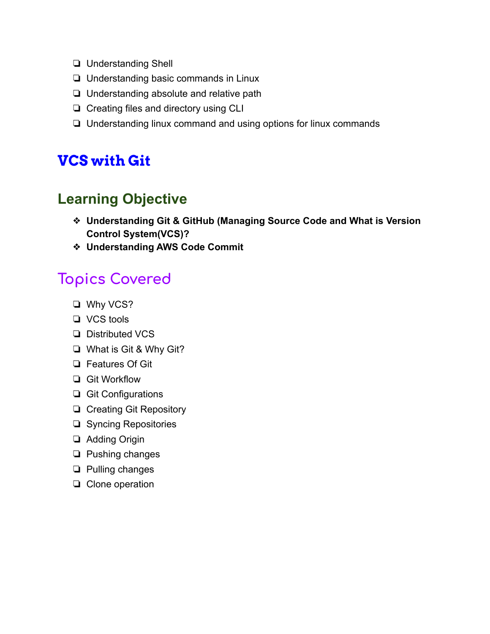- ❏ Understanding Shell
- ❏ Understanding basic commands in Linux
- ❏ Understanding absolute and relative path
- ❏ Creating files and directory using CLI
- ❏ Understanding linux command and using options for linux commands

### **VCS with Git**

### **Learning Objective**

- ❖ **Understanding Git & GitHub (Managing Source Code and What is Version Control System(VCS)?**
- ❖ **Understanding AWS Code Commit**

- ❏ Why VCS?
- ❏ VCS tools
- ❏ Distributed VCS
- ❏ What is Git & Why Git?
- ❏ Features Of Git
- ❏ Git Workflow
- ❏ Git Configurations
- ❏ Creating Git Repository
- ❏ Syncing Repositories
- ❏ Adding Origin
- ❏ Pushing changes
- ❏ Pulling changes
- ❏ Clone operation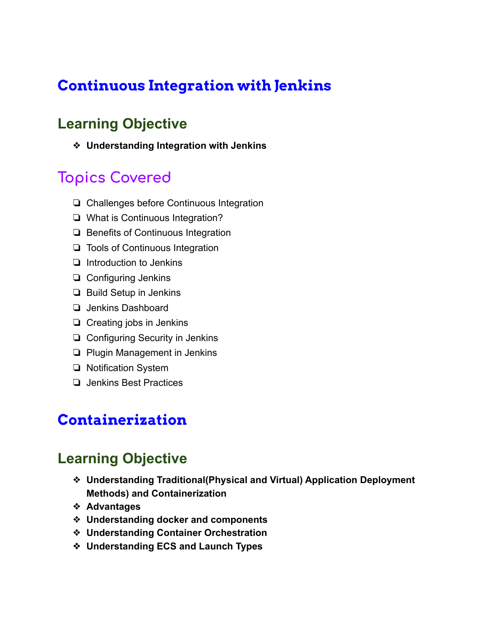# **Continuous Integration with Jenkins**

### **Learning Objective**

❖ **Understanding Integration with Jenkins**

## **Topics Covered**

- ❏ Challenges before Continuous Integration
- ❏ What is Continuous Integration?
- ❏ Benefits of Continuous Integration
- ❏ Tools of Continuous Integration
- ❏ Introduction to Jenkins
- ❏ Configuring Jenkins
- ❏ Build Setup in Jenkins
- ❏ Jenkins Dashboard
- ❏ Creating jobs in Jenkins
- ❏ Configuring Security in Jenkins
- ❏ Plugin Management in Jenkins
- ❏ Notification System
- ❏ Jenkins Best Practices

### **Containerization**

#### **Learning Objective**

- ❖ **Understanding Traditional(Physical and Virtual) Application Deployment Methods) and Containerization**
- ❖ **Advantages**
- ❖ **Understanding docker and components**
- ❖ **Understanding Container Orchestration**
- ❖ **Understanding ECS and Launch Types**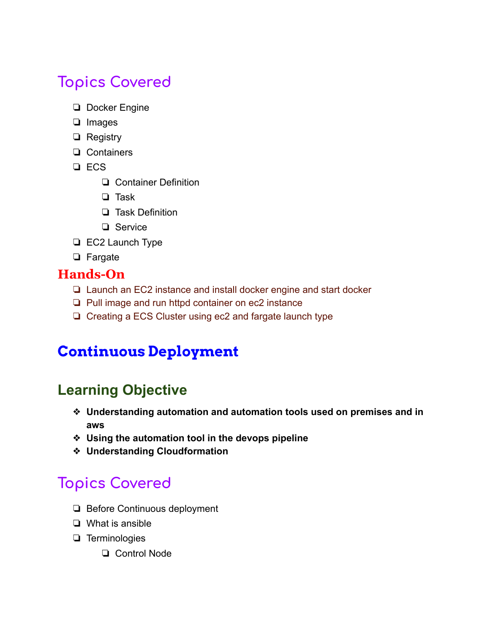- ❏ Docker Engine
- ❏ Images
- ❏ Registry
- ❏ Containers
- ❏ ECS
	- ❏ Container Definition
	- ❏ Task
	- ❏ Task Definition
	- ❏ Service
- ❏ EC2 Launch Type
- ❏ Fargate

#### **Hands-On**

- ❏ Launch an EC2 instance and install docker engine and start docker
- ❏ Pull image and run httpd container on ec2 instance
- ❏ Creating a ECS Cluster using ec2 and fargate launch type

# **Continuous Deployment**

# **Learning Objective**

- ❖ **Understanding automation and automation tools used on premises and in aws**
- ❖ **Using the automation tool in the devops pipeline**
- ❖ **Understanding Cloudformation**

- ❏ Before Continuous deployment
- ❏ What is ansible
- ❏ Terminologies
	- ❏ Control Node